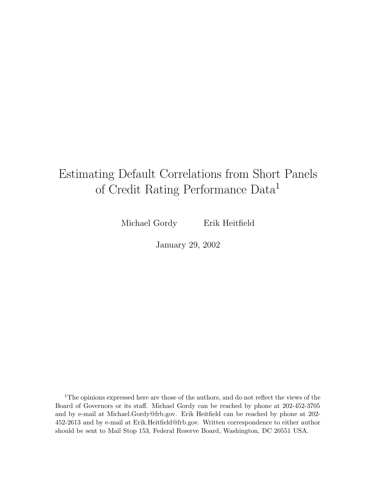# Estimating Default Correlations from Short Panels of Credit Rating Performance Data<sup>1</sup>

Michael Gordy Erik Heitfield

January 29, 2002

<sup>1</sup>The opinions expressed here are those of the authors, and do not reflect the views of the Board of Governors or its staff. Michael Gordy can be reached by phone at 202-452-3705 and by e-mail at Michael.Gordy@frb.gov. Erik Heitfield can be reached by phone at 202- 452-2613 and by e-mail at Erik.Heitfield@frb.gov. Written correspondence to either author should be sent to Mail Stop 153, Federal Reserve Board, Washington, DC 20551 USA.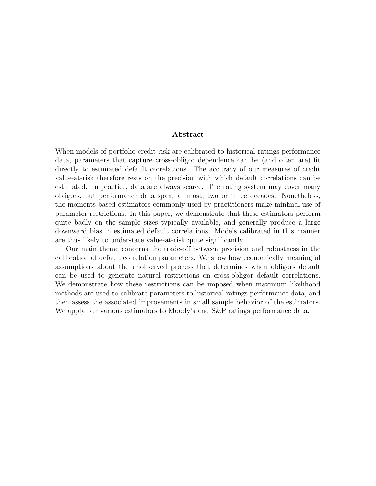#### **Abstract**

When models of portfolio credit risk are calibrated to historical ratings performance data, parameters that capture cross-obligor dependence can be (and often are) fit directly to estimated default correlations. The accuracy of our measures of credit value-at-risk therefore rests on the precision with which default correlations can be estimated. In practice, data are always scarce. The rating system may cover many obligors, but performance data span, at most, two or three decades. Nonetheless, the moments-based estimators commonly used by practitioners make minimal use of parameter restrictions. In this paper, we demonstrate that these estimators perform quite badly on the sample sizes typically available, and generally produce a large downward bias in estimated default correlations. Models calibrated in this manner are thus likely to understate value-at-risk quite significantly.

Our main theme concerns the trade-off between precision and robustness in the calibration of default correlation parameters. We show how economically meaningful assumptions about the unobserved process that determines when obligors default can be used to generate natural restrictions on cross-obligor default correlations. We demonstrate how these restrictions can be imposed when maximum likelihood methods are used to calibrate parameters to historical ratings performance data, and then assess the associated improvements in small sample behavior of the estimators. We apply our various estimators to Moody's and S&P ratings performance data.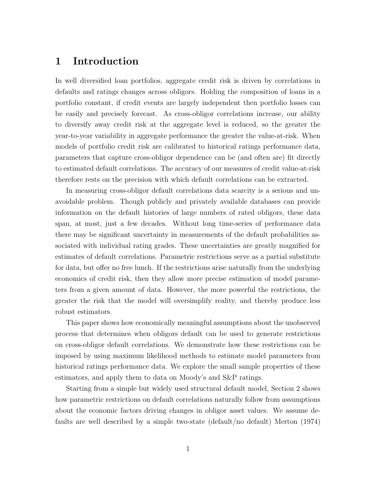#### **1 Introduction**

In well diversified loan portfolios, aggregate credit risk is driven by correlations in defaults and ratings changes across obligors. Holding the composition of loans in a portfolio constant, if credit events are largely independent then portfolio losses can be easily and precisely forecast. As cross-obligor correlations increase, our ability to diversify away credit risk at the aggregate level is reduced, so the greater the year-to-year variability in aggregate performance the greater the value-at-risk. When models of portfolio credit risk are calibrated to historical ratings performance data, parameters that capture cross-obligor dependence can be (and often are) fit directly to estimated default correlations. The accuracy of our measures of credit value-at-risk therefore rests on the precision with which default correlations can be extracted.

In measuring cross-obligor default correlations data scarcity is a serious and unavoidable problem. Though publicly and privately available databases can provide information on the default histories of large numbers of rated obligors, these data span, at most, just a few decades. Without long time-series of performance data there may be significant uncertainty in measurements of the default probabilities associated with individual rating grades. These uncertainties are greatly magnified for estimates of default correlations. Parametric restrictions serve as a partial substitute for data, but offer no free lunch. If the restrictions arise naturally from the underlying economics of credit risk, then they allow more precise estimation of model parameters from a given amount of data. However, the more powerful the restrictions, the greater the risk that the model will oversimplify reality, and thereby produce less robust estimators.

This paper shows how economically meaningful assumptions about the unobserved process that determines when obligors default can be used to generate restrictions on cross-obligor default correlations. We demonstrate how these restrictions can be imposed by using maximum likelihood methods to estimate model parameters from historical ratings performance data. We explore the small sample properties of these estimators, and apply them to data on Moody's and S&P ratings.

Starting from a simple but widely used structural default model, Section 2 shows how parametric restrictions on default correlations naturally follow from assumptions about the economic factors driving changes in obligor asset values. We assume defaults are well described by a simple two-state (default/no default) Merton (1974)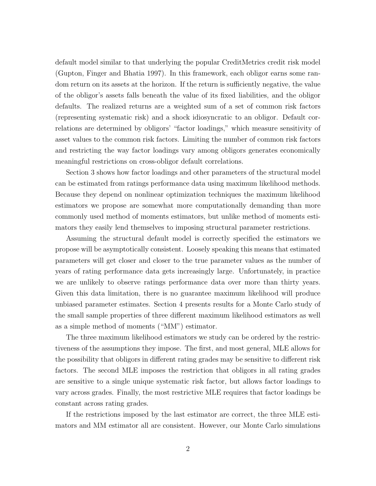default model similar to that underlying the popular CreditMetrics credit risk model (Gupton, Finger and Bhatia 1997). In this framework, each obligor earns some random return on its assets at the horizon. If the return is sufficiently negative, the value of the obligor's assets falls beneath the value of its fixed liabilities, and the obligor defaults. The realized returns are a weighted sum of a set of common risk factors (representing systematic risk) and a shock idiosyncratic to an obligor. Default correlations are determined by obligors' "factor loadings," which measure sensitivity of asset values to the common risk factors. Limiting the number of common risk factors and restricting the way factor loadings vary among obligors generates economically meaningful restrictions on cross-obligor default correlations.

Section 3 shows how factor loadings and other parameters of the structural model can be estimated from ratings performance data using maximum likelihood methods. Because they depend on nonlinear optimization techniques the maximum likelihood estimators we propose are somewhat more computationally demanding than more commonly used method of moments estimators, but unlike method of moments estimators they easily lend themselves to imposing structural parameter restrictions.

Assuming the structural default model is correctly specified the estimators we propose will be asymptotically consistent. Loosely speaking this means that estimated parameters will get closer and closer to the true parameter values as the number of years of rating performance data gets increasingly large. Unfortunately, in practice we are unlikely to observe ratings performance data over more than thirty years. Given this data limitation, there is no guarantee maximum likelihood will produce unbiased parameter estimates. Section 4 presents results for a Monte Carlo study of the small sample properties of three different maximum likelihood estimators as well as a simple method of moments ("MM") estimator.

The three maximum likelihood estimators we study can be ordered by the restrictiveness of the assumptions they impose. The first, and most general, MLE allows for the possibility that obligors in different rating grades may be sensitive to different risk factors. The second MLE imposes the restriction that obligors in all rating grades are sensitive to a single unique systematic risk factor, but allows factor loadings to vary across grades. Finally, the most restrictive MLE requires that factor loadings be constant across rating grades.

If the restrictions imposed by the last estimator are correct, the three MLE estimators and MM estimator all are consistent. However, our Monte Carlo simulations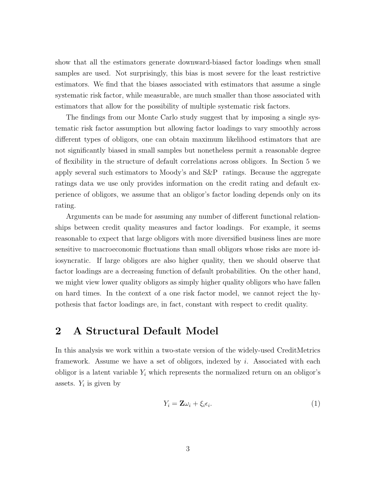show that all the estimators generate downward-biased factor loadings when small samples are used. Not surprisingly, this bias is most severe for the least restrictive estimators. We find that the biases associated with estimators that assume a single systematic risk factor, while measurable, are much smaller than those associated with estimators that allow for the possibility of multiple systematic risk factors.

The findings from our Monte Carlo study suggest that by imposing a single systematic risk factor assumption but allowing factor loadings to vary smoothly across different types of obligors, one can obtain maximum likelihood estimators that are not significantly biased in small samples but nonetheless permit a reasonable degree of flexibility in the structure of default correlations across obligors. In Section 5 we apply several such estimators to Moody's and S&P ratings. Because the aggregate ratings data we use only provides information on the credit rating and default experience of obligors, we assume that an obligor's factor loading depends only on its rating.

Arguments can be made for assuming any number of different functional relationships between credit quality measures and factor loadings. For example, it seems reasonable to expect that large obligors with more diversified business lines are more sensitive to macroeconomic fluctuations than small obligors whose risks are more idiosyncratic. If large obligors are also higher quality, then we should observe that factor loadings are a decreasing function of default probabilities. On the other hand, we might view lower quality obligors as simply higher quality obligors who have fallen on hard times. In the context of a one risk factor model, we cannot reject the hypothesis that factor loadings are, in fact, constant with respect to credit quality.

### **2 A Structural Default Model**

In this analysis we work within a two-state version of the widely-used CreditMetrics framework. Assume we have a set of obligors, indexed by i. Associated with each obligor is a latent variable  $Y_i$  which represents the normalized return on an obligor's assets.  $Y_i$  is given by

$$
Y_i = \mathbf{Z}\omega_i + \xi_i \epsilon_i. \tag{1}
$$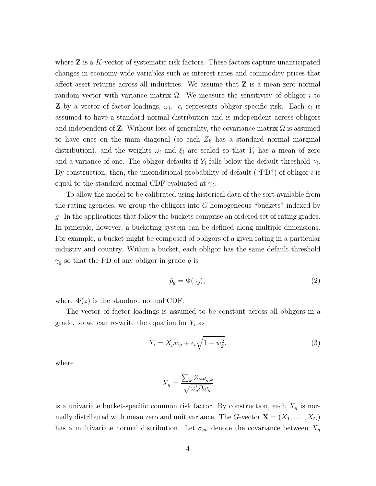where **Z** is a K-vector of systematic risk factors. These factors capture unanticipated changes in economy-wide variables such as interest rates and commodity prices that affect asset returns across all industries. We assume that **Z** is a mean-zero normal random vector with variance matrix  $\Omega$ . We measure the sensitivity of obligor i to **Z** by a vector of factor loadings,  $\omega_i$ .  $\epsilon_i$  represents obligor-specific risk. Each  $\epsilon_i$  is assumed to have a standard normal distribution and is independent across obligors and independent of **Z**. Without loss of generality, the covariance matrix  $\Omega$  is assumed to have ones on the main diagonal (so each  $Z_k$  has a standard normal marginal distribution), and the weights  $\omega_i$  and  $\xi_i$  are scaled so that  $Y_i$  has a mean of zero and a variance of one. The obligor defaults if  $Y_i$  falls below the default threshold  $\gamma_i$ . By construction, then, the unconditional probability of default ("PD") of obligor i is equal to the standard normal CDF evaluated at  $\gamma_i$ .

To allow the model to be calibrated using historical data of the sort available from the rating agencies, we group the obligors into  $G$  homogeneous "buckets" indexed by g. In the applications that follow the buckets comprise an ordered set of rating grades. In principle, however, a bucketing system can be defined along multiple dimensions. For example, a bucket might be composed of obligors of a given rating in a particular industry and country. Within a bucket, each obligor has the same default threshold  $\gamma_g$  so that the PD of any obligor in grade g is

$$
\bar{p}_g = \Phi(\gamma_g),\tag{2}
$$

where  $\Phi(z)$  is the standard normal CDF.

The vector of factor loadings is assumed to be constant across all obligors in a grade. so we can re-write the equation for  $Y_i$  as

$$
Y_i = X_g w_g + \epsilon_i \sqrt{1 - w_g^2}.
$$
\n(3)

where

$$
X_g = \frac{\sum_k Z_k \omega_{g,k}}{\sqrt{\omega_g' \Omega \omega_g}}
$$

is a univariate bucket-specific common risk factor. By construction, each  $X<sub>g</sub>$  is normally distributed with mean zero and unit variance. The G-vector  $\mathbf{X} = (X_1, \ldots, X_G)$ has a multivariate normal distribution. Let  $\sigma_{gh}$  denote the covariance between  $X_g$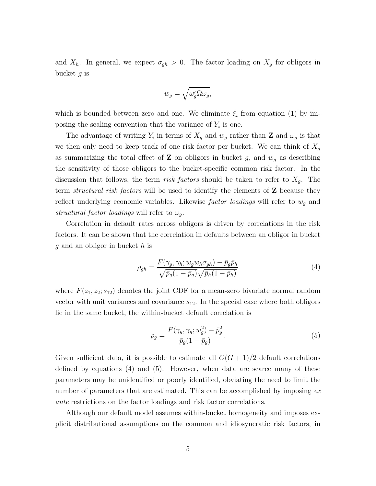and  $X_h$ . In general, we expect  $\sigma_{gh} > 0$ . The factor loading on  $X_g$  for obligors in bucket g is

$$
w_g = \sqrt{\omega'_g \Omega \omega_g},
$$

which is bounded between zero and one. We eliminate  $\xi_i$  from equation (1) by imposing the scaling convention that the variance of  $Y_i$  is one.

The advantage of writing  $Y_i$  in terms of  $X_g$  and  $w_g$  rather than **Z** and  $\omega_g$  is that we then only need to keep track of one risk factor per bucket. We can think of  $X_g$ as summarizing the total effect of **Z** on obligors in bucket  $g$ , and  $w_g$  as describing the sensitivity of those obligors to the bucket-specific common risk factor. In the discussion that follows, the term *risk factors* should be taken to refer to X*g*. The term *structural risk factors* will be used to identify the elements of **Z** because they reflect underlying economic variables. Likewise *factor loadings* will refer to w*<sup>g</sup>* and *structural factor loadings* will refer to  $\omega_q$ .

Correlation in default rates across obligors is driven by correlations in the risk factors. It can be shown that the correlation in defaults between an obligor in bucket  $g$  and an obligor in bucket  $h$  is

$$
\rho_{gh} = \frac{F(\gamma_g, \gamma_h; w_g w_h \sigma_{gh}) - \bar{p}_g \bar{p}_h}{\sqrt{\bar{p}_g (1 - \bar{p}_g)} \sqrt{\bar{p}_h (1 - \bar{p}_h)}}
$$
(4)

where  $F(z_1, z_2; s_{12})$  denotes the joint CDF for a mean-zero bivariate normal random vector with unit variances and covariance  $s_{12}$ . In the special case where both obligors lie in the same bucket, the within-bucket default correlation is

$$
\rho_g = \frac{F(\gamma_g, \gamma_g; w_g^2) - \bar{p}_g^2}{\bar{p}_g (1 - \bar{p}_g)}.
$$
\n
$$
(5)
$$

Given sufficient data, it is possible to estimate all  $G(G + 1)/2$  default correlations defined by equations  $(4)$  and  $(5)$ . However, when data are scarce many of these parameters may be unidentified or poorly identified, obviating the need to limit the number of parameters that are estimated. This can be accomplished by imposing *ex ante* restrictions on the factor loadings and risk factor correlations.

Although our default model assumes within-bucket homogeneity and imposes explicit distributional assumptions on the common and idiosyncratic risk factors, in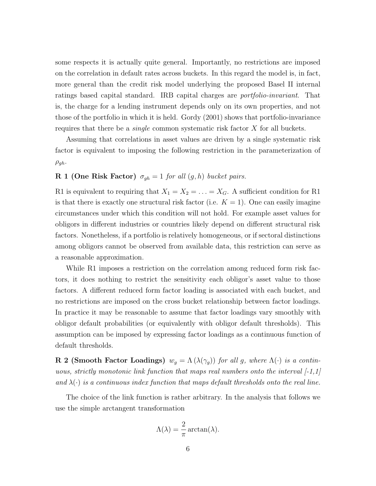some respects it is actually quite general. Importantly, no restrictions are imposed on the correlation in default rates across buckets. In this regard the model is, in fact, more general than the credit risk model underlying the proposed Basel II internal ratings based capital standard. IRB capital charges are *portfolio-invariant*. That is, the charge for a lending instrument depends only on its own properties, and not those of the portfolio in which it is held. Gordy (2001) shows that portfolio-invariance requires that there be a *single* common systematic risk factor X for all buckets.

Assuming that correlations in asset values are driven by a single systematic risk factor is equivalent to imposing the following restriction in the parameterization of  $\rho_{gh}$ .

## **R 1 (One Risk Factor)**  $\sigma_{gh} = 1$  *for all*  $(g, h)$  *bucket pairs.*

R1 is equivalent to requiring that  $X_1 = X_2 = \ldots = X_G$ . A sufficient condition for R1 is that there is exactly one structural risk factor (i.e.  $K = 1$ ). One can easily imagine circumstances under which this condition will not hold. For example asset values for obligors in different industries or countries likely depend on different structural risk factors. Nonetheless, if a portfolio is relatively homogeneous, or if sectoral distinctions among obligors cannot be observed from available data, this restriction can serve as a reasonable approximation.

While R1 imposes a restriction on the correlation among reduced form risk factors, it does nothing to restrict the sensitivity each obligor's asset value to those factors. A different reduced form factor loading is associated with each bucket, and no restrictions are imposed on the cross bucket relationship between factor loadings. In practice it may be reasonable to assume that factor loadings vary smoothly with obligor default probabilities (or equivalently with obligor default thresholds). This assumption can be imposed by expressing factor loadings as a continuous function of default thresholds.

**R 2 (Smooth Factor Loadings)**  $w_g = \Lambda(\lambda(\gamma_g))$  *for all g, where*  $\Lambda(\cdot)$  *is a continuous, strictly monotonic link function that maps real numbers onto the interval [-1,1]* and  $\lambda(\cdot)$  *is a continuous index function that maps default thresholds onto the real line.* 

The choice of the link function is rather arbitrary. In the analysis that follows we use the simple arctangent transformation

$$
\Lambda(\lambda) = \frac{2}{\pi} \arctan(\lambda).
$$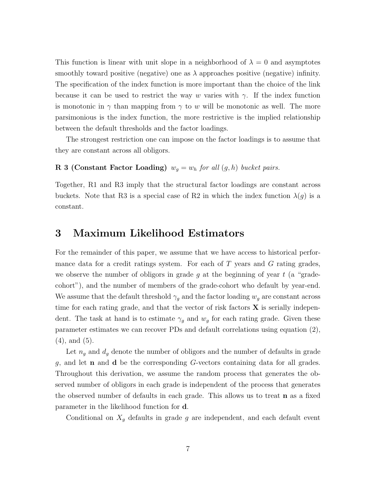This function is linear with unit slope in a neighborhood of  $\lambda = 0$  and asymptotes smoothly toward positive (negative) one as  $\lambda$  approaches positive (negative) infinity. The specification of the index function is more important than the choice of the link because it can be used to restrict the way w varies with  $\gamma$ . If the index function is monotonic in  $\gamma$  than mapping from  $\gamma$  to w will be monotonic as well. The more parsimonious is the index function, the more restrictive is the implied relationship between the default thresholds and the factor loadings.

The strongest restriction one can impose on the factor loadings is to assume that they are constant across all obligors.

#### **R 3 (Constant Factor Loading)**  $w_g = w_h$  *for all*  $(g, h)$  *bucket pairs.*

Together, R1 and R3 imply that the structural factor loadings are constant across buckets. Note that R3 is a special case of R2 in which the index function  $\lambda(g)$  is a constant.

#### **3 Maximum Likelihood Estimators**

For the remainder of this paper, we assume that we have access to historical performance data for a credit ratings system. For each of  $T$  years and  $G$  rating grades, we observe the number of obligors in grade g at the beginning of year  $t$  (a "gradecohort"), and the number of members of the grade-cohort who default by year-end. We assume that the default threshold  $\gamma_g$  and the factor loading  $w_g$  are constant across time for each rating grade, and that the vector of risk factors **X** is serially independent. The task at hand is to estimate  $\gamma_g$  and  $w_g$  for each rating grade. Given these parameter estimates we can recover PDs and default correlations using equation (2), (4), and (5).

Let  $n_g$  and  $d_g$  denote the number of obligors and the number of defaults in grade g, and let **n** and **d** be the corresponding G-vectors containing data for all grades. Throughout this derivation, we assume the random process that generates the observed number of obligors in each grade is independent of the process that generates the observed number of defaults in each grade. This allows us to treat **n** as a fixed parameter in the likelihood function for **d**.

Conditional on  $X_g$  defaults in grade g are independent, and each default event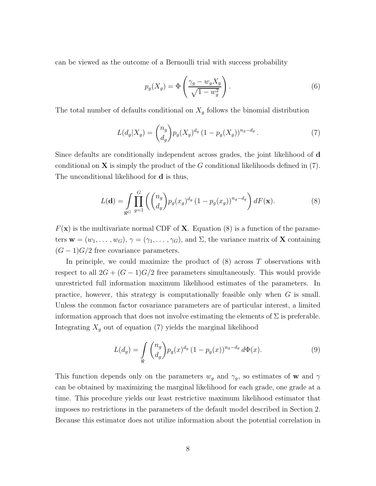can be viewed as the outcome of a Bernoulli trial with success probability

$$
p_g(X_g) = \Phi\left(\frac{\gamma_g - w_g X_g}{\sqrt{1 - w_g^2}}\right). \tag{6}
$$

The total number of defaults conditional on  $X_g$  follows the binomial distribution

$$
L(d_g|X_g) = {n_g \choose d_g} p_g(X_g)^{d_g} (1 - p_g(X_g))^{n_g - d_g}.
$$
 (7)

Since defaults are conditionally independent across grades, the joint likelihood of **d** conditional on **X** is simply the product of the G conditional likelihoods defined in  $(7)$ . The unconditional likelihood for **d** is thus,

$$
L(\mathbf{d}) = \int\limits_{\Re^G} \prod_{g=1}^G \left( \binom{n_g}{d_g} p_g(x_g)^{d_g} \left(1 - p_g(x_g)\right)^{n_g - d_g} \right) dF(\mathbf{x}).\tag{8}
$$

 $F(\mathbf{x})$  is the multivariate normal CDF of **X**. Equation (8) is a function of the parameters  $\mathbf{w} = (w_1, \dots, w_G), \gamma = (\gamma_1, \dots, \gamma_G),$  and  $\Sigma$ , the variance matrix of **X** containing  $(G-1)G/2$  free covariance parameters.

In principle, we could maximize the product of  $(8)$  across T observations with respect to all  $2G + (G - 1)G/2$  free parameters simultaneously. This would provide unrestricted full information maximum likelihood estimates of the parameters. In practice, however, this strategy is computationally feasible only when  $G$  is small. Unless the common factor covariance parameters are of particular interest, a limited information approach that does not involve estimating the elements of  $\Sigma$  is preferable. Integrating  $X_g$  out of equation (7) yields the marginal likelihood

$$
L(d_g) = \int_{\Re} {n_g \choose d_g} p_g(x)^{d_g} (1 - p_g(x))^{n_g - d_g} d\Phi(x).
$$
 (9)

This function depends only on the parameters  $w_g$  and  $\gamma_g$ , so estimates of **w** and  $\gamma$ can be obtained by maximizing the marginal likelihood for each grade, one grade at a time. This procedure yields our least restrictive maximum likelihood estimator that imposes no restrictions in the parameters of the default model described in Section 2. Because this estimator does not utilize information about the potential correlation in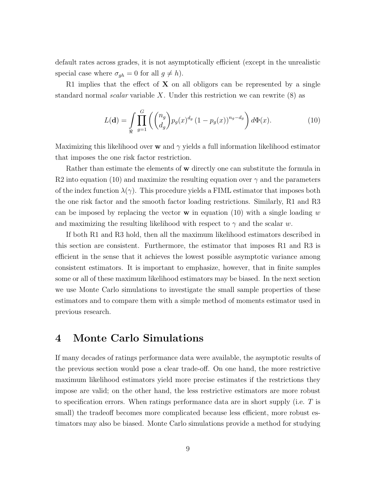default rates across grades, it is not asymptotically efficient (except in the unrealistic special case where  $\sigma_{gh} = 0$  for all  $g \neq h$ ).

R1 implies that the effect of  $X$  on all obligors can be represented by a single standard normal *scalar* variable X. Under this restriction we can rewrite (8) as

$$
L(\mathbf{d}) = \int_{\Re} \prod_{g=1}^{G} \left( {n_g \choose d_g} p_g(x)^{d_g} (1 - p_g(x))^{n_g - d_g} \right) d\Phi(x).
$$
 (10)

Maximizing this likelihood over **w** and γ yields a full information likelihood estimator that imposes the one risk factor restriction.

Rather than estimate the elements of **w** directly one can substitute the formula in R2 into equation (10) and maximize the resulting equation over  $\gamma$  and the parameters of the index function  $\lambda(\gamma)$ . This procedure yields a FIML estimator that imposes both the one risk factor and the smooth factor loading restrictions. Similarly, R1 and R3 can be imposed by replacing the vector **w** in equation (10) with a single loading w and maximizing the resulting likelihood with respect to  $\gamma$  and the scalar w.

If both R1 and R3 hold, then all the maximum likelihood estimators described in this section are consistent. Furthermore, the estimator that imposes R1 and R3 is efficient in the sense that it achieves the lowest possible asymptotic variance among consistent estimators. It is important to emphasize, however, that in finite samples some or all of these maximum likelihood estimators may be biased. In the next section we use Monte Carlo simulations to investigate the small sample properties of these estimators and to compare them with a simple method of moments estimator used in previous research.

#### **4 Monte Carlo Simulations**

If many decades of ratings performance data were available, the asymptotic results of the previous section would pose a clear trade-off. On one hand, the more restrictive maximum likelihood estimators yield more precise estimates if the restrictions they impose are valid; on the other hand, the less restrictive estimators are more robust to specification errors. When ratings performance data are in short supply (i.e. T is small) the tradeoff becomes more complicated because less efficient, more robust estimators may also be biased. Monte Carlo simulations provide a method for studying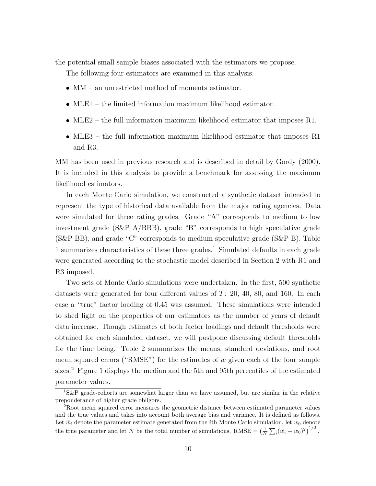the potential small sample biases associated with the estimators we propose.

The following four estimators are examined in this analysis.

- MM an unrestricted method of moments estimator.
- MLE1 the limited information maximum likelihood estimator.
- MLE2 the full information maximum likelihood estimator that imposes R1.
- MLE3 the full information maximum likelihood estimator that imposes R1 and R3.

MM has been used in previous research and is described in detail by Gordy (2000). It is included in this analysis to provide a benchmark for assessing the maximum likelihood estimators.

In each Monte Carlo simulation, we constructed a synthetic dataset intended to represent the type of historical data available from the major rating agencies. Data were simulated for three rating grades. Grade "A" corresponds to medium to low investment grade (S&P A/BBB), grade "B" corresponds to high speculative grade (S&P BB), and grade "C" corresponds to medium speculative grade (S&P B). Table 1 summarizes characteristics of these three grades.<sup>1</sup> Simulated defaults in each grade were generated according to the stochastic model described in Section 2 with R1 and R3 imposed.

Two sets of Monte Carlo simulations were undertaken. In the first, 500 synthetic datasets were generated for four different values of  $T: 20, 40, 80,$  and 160. In each case a "true" factor loading of 0.45 was assumed. These simulations were intended to shed light on the properties of our estimators as the number of years of default data increase. Though estimates of both factor loadings and default thresholds were obtained for each simulated dataset, we will postpone discussing default thresholds for the time being. Table 2 summarizes the means, standard deviations, and root mean squared errors ("RMSE") for the estimates of  $w$  given each of the four sample sizes.<sup>2</sup> Figure 1 displays the median and the 5th and 95th percentiles of the estimated parameter values.

 ${}^{1}S\&P$  grade-cohorts are somewhat larger than we have assumed, but are similar in the relative preponderance of higher grade obligors.

<sup>2</sup>Root mean squared error measures the geometric distance between estimated parameter values and the true values and takes into account both average bias and variance. It is defined as follows. Let  $\hat{w}_i$  denote the parameter estimate generated from the *i*th Monte Carlo simulation, let  $w_0$  denote the true parameter and let N be the total number of simulations. RMSE =  $\left(\frac{1}{N}\sum_i(\hat{w}_i - w_0)^2\right)^{1/2}$ .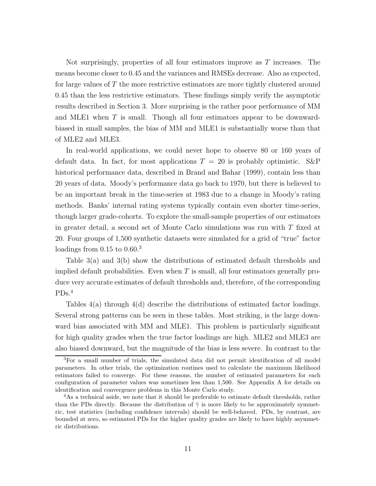Not surprisingly, properties of all four estimators improve as T increases. The means become closer to 0.45 and the variances and RMSEs decrease. Also as expected, for large values of  $T$  the more restrictive estimators are more tightly clustered around 0.45 than the less restrictive estimators. These findings simply verify the asymptotic results described in Section 3. More surprising is the rather poor performance of MM and MLE1 when T is small. Though all four estimators appear to be downwardbiased in small samples, the bias of MM and MLE1 is substantially worse than that of MLE2 and MLE3.

In real-world applications, we could never hope to observe 80 or 160 years of default data. In fact, for most applications  $T = 20$  is probably optimistic. S&P historical performance data, described in Brand and Bahar (1999), contain less than 20 years of data. Moody's performance data go back to 1970, but there is believed to be an important break in the time-series at 1983 due to a change in Moody's rating methods. Banks' internal rating systems typically contain even shorter time-series, though larger grade-cohorts. To explore the small-sample properties of our estimators in greater detail, a second set of Monte Carlo simulations was run with  $T$  fixed at 20. Four groups of 1,500 synthetic datasets were simulated for a grid of "true" factor loadings from  $0.15$  to  $0.60$ <sup>3</sup>

Table 3(a) and 3(b) show the distributions of estimated default thresholds and implied default probabilities. Even when  $T$  is small, all four estimators generally produce very accurate estimates of default thresholds and, therefore, of the corresponding PDs.<sup>4</sup>

Tables 4(a) through 4(d) describe the distributions of estimated factor loadings. Several strong patterns can be seen in these tables. Most striking, is the large downward bias associated with MM and MLE1. This problem is particularly significant for high quality grades when the true factor loadings are high. MLE2 and MLE3 are also biased downward, but the magnitude of the bias is less severe. In contrast to the

<sup>3</sup>For a small number of trials, the simulated data did not permit identification of all model parameters. In other trials, the optimization routines used to calculate the maximum likelihood estimators failed to converge. For these reasons, the number of estimated parameters for each configuration of parameter values was sometimes less than 1,500. See Appendix A for details on identification and convergence problems in this Monte Carlo study.

<sup>&</sup>lt;sup>4</sup>As a technical aside, we note that it should be preferable to estimate default thresholds, rather than the PDs directly. Because the distribution of  $\hat{\gamma}$  is more likely to be approximately symmetric, test statistics (including confidence intervals) should be well-behaved. PDs, by contrast, are bounded at zero, so estimated PDs for the higher quality grades are likely to have highly asymmetric distributions.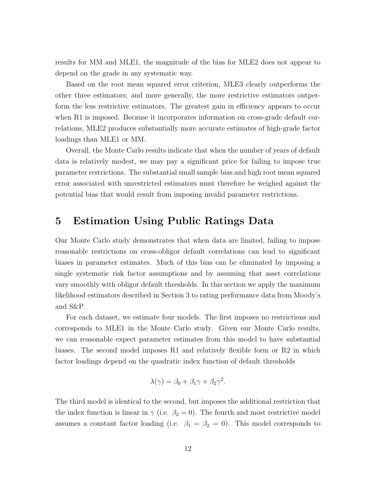results for MM and MLE1, the magnitude of the bias for MLE2 does not appear to depend on the grade in any systematic way.

Based on the root mean squared error criterion, MLE3 clearly outperforms the other three estimators; and more generally, the more restrictive estimators outperform the less restrictive estimators. The greatest gain in efficiency appears to occur when R1 is imposed. Because it incorporates information on cross-grade default correlations, MLE2 produces substantially more accurate estimates of high-grade factor loadings than MLE1 or MM.

Overall, the Monte Carlo results indicate that when the number of years of default data is relatively modest, we may pay a significant price for failing to impose true parameter restrictions. The substantial small sample bias and high root mean squared error associated with unrestricted estimators must therefore be weighed against the potential bias that would result from imposing invalid parameter restrictions.

#### **5 Estimation Using Public Ratings Data**

Our Monte Carlo study demonstrates that when data are limited, failing to impose reasonable restrictions on cross-obligor default correlations can lead to significant biases in parameter estimates. Much of this bias can be eliminated by imposing a single systematic risk factor assumptions and by assuming that asset correlations vary smoothly with obligor default thresholds. In this section we apply the maximum likelihood estimators described in Section 3 to rating performance data from Moody's and S&P.

For each dataset, we estimate four models. The first imposes no restrictions and corresponds to MLE1 in the Monte Carlo study. Given our Monte Carlo results, we can reasonable expect parameter estimates from this model to have substantial biases. The second model imposes R1 and relatively flexible form or R2 in which factor loadings depend on the quadratic index function of default thresholds

$$
\lambda(\gamma) = \beta_0 + \beta_1 \gamma + \beta_2 \gamma^2.
$$

The third model is identical to the second, but imposes the additional restriction that the index function is linear in  $\gamma$  (i.e.  $\beta_2 = 0$ ). The fourth and most restrictive model assumes a constant factor loading (i.e.  $\beta_1 = \beta_2 = 0$ ). This model corresponds to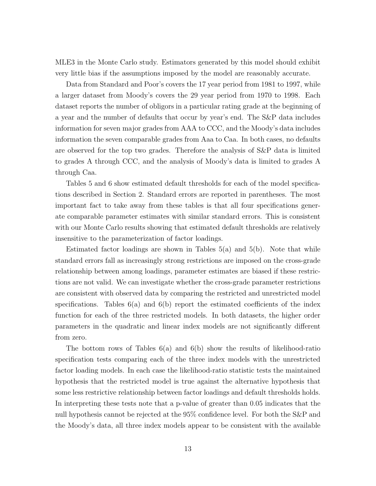MLE3 in the Monte Carlo study. Estimators generated by this model should exhibit very little bias if the assumptions imposed by the model are reasonably accurate.

Data from Standard and Poor's covers the 17 year period from 1981 to 1997, while a larger dataset from Moody's covers the 29 year period from 1970 to 1998. Each dataset reports the number of obligors in a particular rating grade at the beginning of a year and the number of defaults that occur by year's end. The S&P data includes information for seven major grades from AAA to CCC, and the Moody's data includes information the seven comparable grades from Aaa to Caa. In both cases, no defaults are observed for the top two grades. Therefore the analysis of S&P data is limited to grades A through CCC, and the analysis of Moody's data is limited to grades A through Caa.

Tables 5 and 6 show estimated default thresholds for each of the model specifications described in Section 2. Standard errors are reported in parentheses. The most important fact to take away from these tables is that all four specifications generate comparable parameter estimates with similar standard errors. This is consistent with our Monte Carlo results showing that estimated default thresholds are relatively insensitive to the parameterization of factor loadings.

Estimated factor loadings are shown in Tables  $5(a)$  and  $5(b)$ . Note that while standard errors fall as increasingly strong restrictions are imposed on the cross-grade relationship between among loadings, parameter estimates are biased if these restrictions are not valid. We can investigate whether the cross-grade parameter restrictions are consistent with observed data by comparing the restricted and unrestricted model specifications. Tables  $6(a)$  and  $6(b)$  report the estimated coefficients of the index function for each of the three restricted models. In both datasets, the higher order parameters in the quadratic and linear index models are not significantly different from zero.

The bottom rows of Tables  $6(a)$  and  $6(b)$  show the results of likelihood-ratio specification tests comparing each of the three index models with the unrestricted factor loading models. In each case the likelihood-ratio statistic tests the maintained hypothesis that the restricted model is true against the alternative hypothesis that some less restrictive relationship between factor loadings and default thresholds holds. In interpreting these tests note that a p-value of greater than 0.05 indicates that the null hypothesis cannot be rejected at the 95% confidence level. For both the S&P and the Moody's data, all three index models appear to be consistent with the available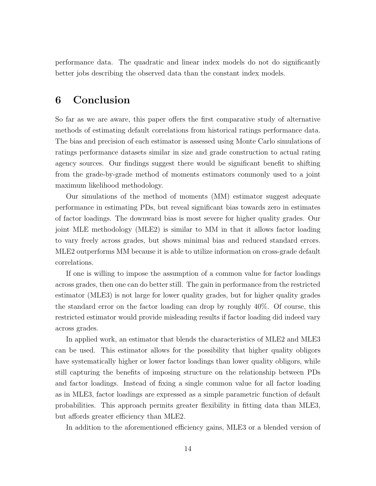performance data. The quadratic and linear index models do not do significantly better jobs describing the observed data than the constant index models.

### **6 Conclusion**

So far as we are aware, this paper offers the first comparative study of alternative methods of estimating default correlations from historical ratings performance data. The bias and precision of each estimator is assessed using Monte Carlo simulations of ratings performance datasets similar in size and grade construction to actual rating agency sources. Our findings suggest there would be significant benefit to shifting from the grade-by-grade method of moments estimators commonly used to a joint maximum likelihood methodology.

Our simulations of the method of moments (MM) estimator suggest adequate performance in estimating PDs, but reveal significant bias towards zero in estimates of factor loadings. The downward bias is most severe for higher quality grades. Our joint MLE methodology (MLE2) is similar to MM in that it allows factor loading to vary freely across grades, but shows minimal bias and reduced standard errors. MLE2 outperforms MM because it is able to utilize information on cross-grade default correlations.

If one is willing to impose the assumption of a common value for factor loadings across grades, then one can do better still. The gain in performance from the restricted estimator (MLE3) is not large for lower quality grades, but for higher quality grades the standard error on the factor loading can drop by roughly 40%. Of course, this restricted estimator would provide misleading results if factor loading did indeed vary across grades.

In applied work, an estimator that blends the characteristics of MLE2 and MLE3 can be used. This estimator allows for the possibility that higher quality obligors have systematically higher or lower factor loadings than lower quality obligors, while still capturing the benefits of imposing structure on the relationship between PDs and factor loadings. Instead of fixing a single common value for all factor loading as in MLE3, factor loadings are expressed as a simple parametric function of default probabilities. This approach permits greater flexibility in fitting data than MLE3, but affords greater efficiency than MLE2.

In addition to the aforementioned efficiency gains, MLE3 or a blended version of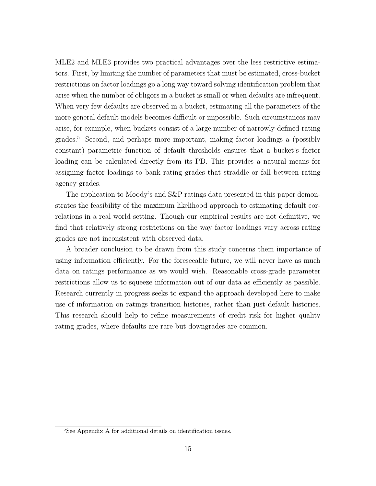MLE2 and MLE3 provides two practical advantages over the less restrictive estimators. First, by limiting the number of parameters that must be estimated, cross-bucket restrictions on factor loadings go a long way toward solving identification problem that arise when the number of obligors in a bucket is small or when defaults are infrequent. When very few defaults are observed in a bucket, estimating all the parameters of the more general default models becomes difficult or impossible. Such circumstances may arise, for example, when buckets consist of a large number of narrowly-defined rating grades.<sup>5</sup> Second, and perhaps more important, making factor loadings a (possibly constant) parametric function of default thresholds ensures that a bucket's factor loading can be calculated directly from its PD. This provides a natural means for assigning factor loadings to bank rating grades that straddle or fall between rating agency grades.

The application to Moody's and S&P ratings data presented in this paper demonstrates the feasibility of the maximum likelihood approach to estimating default correlations in a real world setting. Though our empirical results are not definitive, we find that relatively strong restrictions on the way factor loadings vary across rating grades are not inconsistent with observed data.

A broader conclusion to be drawn from this study concerns them importance of using information efficiently. For the foreseeable future, we will never have as much data on ratings performance as we would wish. Reasonable cross-grade parameter restrictions allow us to squeeze information out of our data as efficiently as passible. Research currently in progress seeks to expand the approach developed here to make use of information on ratings transition histories, rather than just default histories. This research should help to refine measurements of credit risk for higher quality rating grades, where defaults are rare but downgrades are common.

<sup>5</sup>See Appendix A for additional details on identification issues.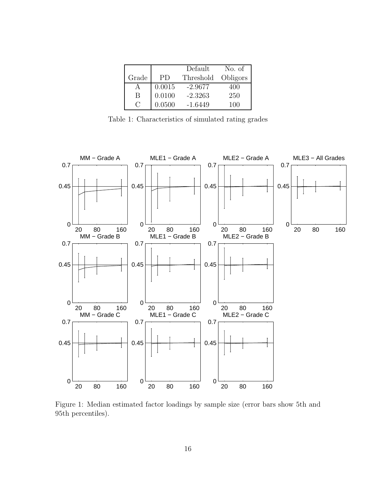|                                                     |           | Default   | No. of   |
|-----------------------------------------------------|-----------|-----------|----------|
| Grade                                               | <b>PD</b> | Threshold | Obligors |
|                                                     | 0.0015    | $-2.9677$ | 400      |
| В                                                   | 0.0100    | $-2.3263$ | 250      |
| $\left( \begin{array}{c} \cdot \end{array} \right)$ | 0.0500    | $-1.6449$ | 100      |

Table 1: Characteristics of simulated rating grades



Figure 1: Median estimated factor loadings by sample size (error bars show 5th and 95th percentiles).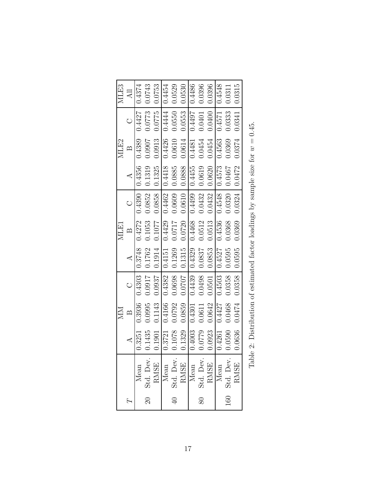|                                   |                      | $_{\rm NM}$                                                                      |               |                  | MLE1         |                                                                                                                 |                 | MLE <sub>2</sub>                                         |                 | MLE3   |
|-----------------------------------|----------------------|----------------------------------------------------------------------------------|---------------|------------------|--------------|-----------------------------------------------------------------------------------------------------------------|-----------------|----------------------------------------------------------|-----------------|--------|
|                                   | $\blacktriangleleft$ | $\mathbf{D}$                                                                     | $\circ$       | $\blacktriangle$ | $\mathbf{r}$ | $\circ$                                                                                                         | $\overline{A}$  | $\mathbb{B}$                                             | $\circ$         | All    |
| Mean                              | 0.3251               | 0.3936                                                                           | 0.4303        | 8728.0           | 0.4272       |                                                                                                                 |                 | $0.4390$ 0.4356 0.4389                                   | 0.4427   0.4374 |        |
| 20 Std. Dev.                      | 0.1435               | 0.0995                                                                           | 0.0917        | 0.1762           | 0.1053       | 0.0852                                                                                                          |                 | 0.1319 0.0907                                            | 0.0773          | 0.0743 |
| <b>RMSE</b>                       | 0.1901               | 0.1143                                                                           | 0.0937        | 0.1914           | 0.1077       | 0.0858                                                                                                          | 0.1325          | 0.0913                                                   | 0.0775          | 0.0753 |
| Mean                              | 0.3721               |                                                                                  | 0.4166 0.4382 | 1614.0           |              |                                                                                                                 |                 | $0.4429$ $0.4462$ $0.4418$ $0.4426$ $0.4444$             |                 | 0.4454 |
| 40 Std. Dev.                      | 0.1078               | 0.0792                                                                           | 0.0698        | 0.1269           | 1120.0       | 0.0609                                                                                                          | 0.0885          | 0.0610                                                   | 0.0550          | 0.0529 |
| $\frac{\text{RMSE}}{\text{Mean}}$ | 0.1329               | 0.0859                                                                           | 10/020        |                  |              | $\begin{array}{ ccc } \hline 0.1315 & 0.0720 & 0.0610 \\ \hline 0.4329 & 0.4468 & 0.4499 \\ \hline \end{array}$ |                 | 0.0888 0.0614                                            | 0.0553          | 0.0530 |
|                                   | 0.4003               | 0.4301                                                                           | 0.4439        |                  |              |                                                                                                                 |                 | 0.4455 0.4481                                            | 16770           | 0.4486 |
| 80 Std. Dev.                      | 0.0779               | 0.0611                                                                           | 0.0498        | 1880.0           |              | $0.0512$ $0.0432$                                                                                               |                 | $0.0619$ 0.0454                                          | 0.0401          | 0.0396 |
| <b>RMSE</b>                       | 0.0923               | 0.0642                                                                           | 0.0501        | 0.0853           | 0.0513       | 0.0432                                                                                                          | 0.0620          | 0.0454                                                   | 0.0400          | 0.0396 |
| Mean                              | 0.4261               | 0.4427                                                                           | 0.4503        | 0.4527           |              | $0.4536$ $0.4548$                                                                                               | 0.4573 0.4563   |                                                          | 0.4571          | 0.4548 |
| 160 Std. Dev.                     | 0.0590               | 0.0468                                                                           | 0.0358        | 0.0595           | 0.0368       |                                                                                                                 | $0.0320$ 0.0467 | 0.0369                                                   | 0.0333          | 0.0311 |
| <b>RMSE</b>                       | 0.0636               |                                                                                  | 0.0474 0.0358 |                  |              | $0.0595$ 0.0369 0.0324                                                                                          |                 | $\begin{bmatrix} 0.0472 & 0.0374 & 0.0341 \end{bmatrix}$ |                 | 0.0315 |
|                                   |                      | Table 2: Distribution of estimated factor loadings by sample size for $w = 0.45$ |               |                  |              |                                                                                                                 |                 |                                                          |                 |        |

| $\frac{1}{2}$                                                                                                               |
|-----------------------------------------------------------------------------------------------------------------------------|
|                                                                                                                             |
| <br>                                                                                                                        |
| ξ                                                                                                                           |
| ı                                                                                                                           |
| $\frac{1}{2}$                                                                                                               |
| l<br>į                                                                                                                      |
| i<br>l<br>ı<br>ı                                                                                                            |
|                                                                                                                             |
| いさ いりひ じらくり<br>I<br>J<br>ĺ<br>ı<br>֖֖֖֖֖֖֧֧֚֚֚֚֚֚֚֚֚֚֚֚֚֚֚֚֚֚֚֡֝֓֝֬֝֓֬֝֓֬֝֓֬֝֓֬֓֓֬֓֓֬֓֓֬֝֓֬֝֓֬֝֬֝֬֓֬֝֬֝֬֝֬֝֬֝֬֝֬֝֬֝֬֝֬<br>l |
| ١                                                                                                                           |
| いくこ いしりくり                                                                                                                   |
| $\frac{1}{2}$                                                                                                               |
|                                                                                                                             |
| くうらん<br>İ<br>$\ddot{\phantom{0}}$                                                                                           |
|                                                                                                                             |
| ۱,                                                                                                                          |
| ı                                                                                                                           |
| <br> <br> <br>י<br>י<br>í                                                                                                   |
| $\mathbf{i}$<br>¢                                                                                                           |
| í<br>$\overline{a}$<br>l<br>-<br>E<br>$\overline{1}$                                                                        |
| É<br>۱                                                                                                                      |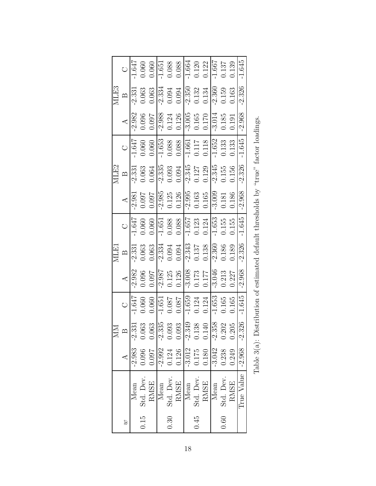|                  |                                                                                                                                                                                                 |                                                                                                                 |                                                                                                                                                                       | MLE1                                                                                                                                                                                                                                                                                                                                                     |                                                                                                                                                                                                                |                                                                                                                                                                                                                                                                                                                                                                 | MLE2                                                                                                                                                                      |                                                                                                                                                                                                                                         |                                                                                                                                                              | MLE3                                                                                                                                                      |                                                                                                                                |
|------------------|-------------------------------------------------------------------------------------------------------------------------------------------------------------------------------------------------|-----------------------------------------------------------------------------------------------------------------|-----------------------------------------------------------------------------------------------------------------------------------------------------------------------|----------------------------------------------------------------------------------------------------------------------------------------------------------------------------------------------------------------------------------------------------------------------------------------------------------------------------------------------------------|----------------------------------------------------------------------------------------------------------------------------------------------------------------------------------------------------------------|-----------------------------------------------------------------------------------------------------------------------------------------------------------------------------------------------------------------------------------------------------------------------------------------------------------------------------------------------------------------|---------------------------------------------------------------------------------------------------------------------------------------------------------------------------|-----------------------------------------------------------------------------------------------------------------------------------------------------------------------------------------------------------------------------------------|--------------------------------------------------------------------------------------------------------------------------------------------------------------|-----------------------------------------------------------------------------------------------------------------------------------------------------------|--------------------------------------------------------------------------------------------------------------------------------|
|                  | MM<br>B<br>2.983 -2.331<br>-2.983 -2.335<br>0.096 0.063<br>0.097 0.063<br>0.124 0.093<br>0.126 0.139<br>0.138 0.202<br>3.042 -2.358<br>0.180 0.140<br>0.180 0.140<br>0.180 0.140<br>0.180 0.140 |                                                                                                                 |                                                                                                                                                                       |                                                                                                                                                                                                                                                                                                                                                          |                                                                                                                                                                                                                |                                                                                                                                                                                                                                                                                                                                                                 |                                                                                                                                                                           | $\circ$                                                                                                                                                                                                                                 | $\mathcal{A}$                                                                                                                                                | $\mathbf{p}$                                                                                                                                              | $\circ$                                                                                                                        |
| Mean             |                                                                                                                                                                                                 | $rac{C}{1.647}$                                                                                                 |                                                                                                                                                                       |                                                                                                                                                                                                                                                                                                                                                          |                                                                                                                                                                                                                |                                                                                                                                                                                                                                                                                                                                                                 |                                                                                                                                                                           |                                                                                                                                                                                                                                         |                                                                                                                                                              | $-2.331$                                                                                                                                                  | $\overline{1.647}$                                                                                                             |
| $0.15$ Std. Dev. |                                                                                                                                                                                                 |                                                                                                                 |                                                                                                                                                                       |                                                                                                                                                                                                                                                                                                                                                          |                                                                                                                                                                                                                |                                                                                                                                                                                                                                                                                                                                                                 |                                                                                                                                                                           |                                                                                                                                                                                                                                         |                                                                                                                                                              |                                                                                                                                                           |                                                                                                                                |
| <b>RMSE</b>      |                                                                                                                                                                                                 | $\begin{array}{c} 0.060 \\ -1.651 \\ 0.087 \\ 0.087 \\ 0.087 \\ -1.659 \\ 0.124 \\ 0.124 \\ -1.653 \end{array}$ | $\begin{array}{r} 4 \\ -2.982 \\ 0.096 \\ 0.097 \\ -2.987 \\ 0.125 \\ 0.126 \\ -3.008 \\ -1.73 \\ 0.173 \\ -0.174 \\ 0.033 \\ 0.213 \\ 0.313 \\ 0.327 \\ \end{array}$ | $\begin{array}{r} \n\text{B} \\ -2.331 \\ 0.063 \\ 0.063 \\ -2.334 \\ 0.094 \\ -0.094 \\ -0.343 \\ -0.137 \\ -0.138 \\ -0.138 \\ -0.138 \\ \hline\n0.036 \\ 0.189 \\ \hline\n0.138 \\ -0.189 \\ \hline\n0.039 \\ \hline\n0.039 \\ -0.189 \\ \hline\n0.039 \\ -0.189 \\ \hline\n0.039 \\ -0.189 \\ \hline\n0.039 \\ -0.189 \\ -0.189 \\ -0.189 \\ -0.189$ | $\begin{array}{r l} \hline \text{C} & \text{0.660} \\ \hline 1.647 & 0.060 \\ \hline 0.060 & 0.088 \\ \hline 0.088 & 8 \\ 0.088 & 0.123 \\ \hline 1.657 & 0.124 \\ \hline 0.153 & 0.155 \\ \hline \end{array}$ | $\begin{array}{r} \n 4 \\  -2.981 \\  -0.097 \\  0.097 \\  -2.985 \\  -1.295 \\  -1.295 \\  -1.0126 \\  -1.035 \\  -1.035 \\  -1.035 \\  -1.030 \\  -1.030 \\  -1.030 \\  -1.030 \\  -1.030 \\  -1.030 \\  -1.030 \\  -1.030 \\  -1.030 \\  -1.030 \\  -1.030 \\  -1.030 \\  -1.030 \\  -1.030 \\  -1.030 \\  -1.030 \\  -1.030 \\  -1.030 \\  -1.030 \\  -1.0$ | $\begin{array}{r} \hline \text{B} \\ -2.331 \\ 0.063 \\ 0.064 \\ -2.335 \\ 0.093 \\ -2.345 \\ 0.093 \\ -2.345 \\ -1.27 \\ 0.129 \\ -2.345 \\ 0.156 \\ \hline \end{array}$ | $\begin{array}{r l} \hline 1.647 \\ \hline 0.060 \\ \hline 0.060 \\ \hline 1.653 \\ \hline 0.088 \\ \hline 0.088 \\ \hline 1.651 \\ \hline 1.652 \\ \hline 1.117 \\ \hline 0.118 \\ \hline 0.118 \\ \hline 1.652 \\ \hline \end{array}$ | $\begin{array}{r} 2.982 \\ 0.096 \\ 0.097 \\ 0.124 \\ 0.126 \\ 0.126 \\ 0.165 \\ 0.165 \\ 0.161 \\ 0.161 \\ 0.161 \\ 0.138 \\ 0.191 \\ 0.191 \\ \end{array}$ | $\begin{array}{c c} 0.063 \\ -0.063 \\ \hline 0.094 \\ 0.094 \\ \hline 0.132 \\ -0.132 \\ \hline 0.132 \\ -0.159 \\ \hline 0.034 \\ 0.132 \\ \end{array}$ | $\begin{array}{c} 0.060 \\ -1.651 \\ 0.088 \\ 0.088 \\ 0.088 \\ \hline 1.664 \\ 0.120 \\ 0.122 \\ \hline 1.667 \\ \end{array}$ |
| Mean             |                                                                                                                                                                                                 |                                                                                                                 |                                                                                                                                                                       |                                                                                                                                                                                                                                                                                                                                                          |                                                                                                                                                                                                                |                                                                                                                                                                                                                                                                                                                                                                 |                                                                                                                                                                           |                                                                                                                                                                                                                                         |                                                                                                                                                              |                                                                                                                                                           |                                                                                                                                |
| 0.30 Std. Dev.   |                                                                                                                                                                                                 |                                                                                                                 |                                                                                                                                                                       |                                                                                                                                                                                                                                                                                                                                                          |                                                                                                                                                                                                                |                                                                                                                                                                                                                                                                                                                                                                 |                                                                                                                                                                           |                                                                                                                                                                                                                                         |                                                                                                                                                              |                                                                                                                                                           |                                                                                                                                |
| <b>RMSE</b>      |                                                                                                                                                                                                 |                                                                                                                 |                                                                                                                                                                       |                                                                                                                                                                                                                                                                                                                                                          |                                                                                                                                                                                                                |                                                                                                                                                                                                                                                                                                                                                                 |                                                                                                                                                                           |                                                                                                                                                                                                                                         |                                                                                                                                                              |                                                                                                                                                           |                                                                                                                                |
| Mean             |                                                                                                                                                                                                 |                                                                                                                 |                                                                                                                                                                       |                                                                                                                                                                                                                                                                                                                                                          |                                                                                                                                                                                                                |                                                                                                                                                                                                                                                                                                                                                                 |                                                                                                                                                                           |                                                                                                                                                                                                                                         |                                                                                                                                                              |                                                                                                                                                           |                                                                                                                                |
| 0.45 Std. Dev.   |                                                                                                                                                                                                 |                                                                                                                 |                                                                                                                                                                       |                                                                                                                                                                                                                                                                                                                                                          |                                                                                                                                                                                                                |                                                                                                                                                                                                                                                                                                                                                                 |                                                                                                                                                                           |                                                                                                                                                                                                                                         |                                                                                                                                                              |                                                                                                                                                           |                                                                                                                                |
| <b>RMSE</b>      |                                                                                                                                                                                                 |                                                                                                                 |                                                                                                                                                                       |                                                                                                                                                                                                                                                                                                                                                          |                                                                                                                                                                                                                |                                                                                                                                                                                                                                                                                                                                                                 |                                                                                                                                                                           |                                                                                                                                                                                                                                         |                                                                                                                                                              |                                                                                                                                                           |                                                                                                                                |
| Mean             |                                                                                                                                                                                                 |                                                                                                                 |                                                                                                                                                                       |                                                                                                                                                                                                                                                                                                                                                          |                                                                                                                                                                                                                |                                                                                                                                                                                                                                                                                                                                                                 |                                                                                                                                                                           |                                                                                                                                                                                                                                         |                                                                                                                                                              |                                                                                                                                                           |                                                                                                                                |
| 0.60 Std. Dev.   |                                                                                                                                                                                                 |                                                                                                                 |                                                                                                                                                                       |                                                                                                                                                                                                                                                                                                                                                          |                                                                                                                                                                                                                |                                                                                                                                                                                                                                                                                                                                                                 |                                                                                                                                                                           | 0.133<br>0.133                                                                                                                                                                                                                          |                                                                                                                                                              |                                                                                                                                                           | 0.137                                                                                                                          |
| RMSE             |                                                                                                                                                                                                 | $0.165$<br>$0.165$                                                                                              |                                                                                                                                                                       |                                                                                                                                                                                                                                                                                                                                                          |                                                                                                                                                                                                                |                                                                                                                                                                                                                                                                                                                                                                 |                                                                                                                                                                           |                                                                                                                                                                                                                                         |                                                                                                                                                              |                                                                                                                                                           | 0.139                                                                                                                          |
| True Value       | $-2.968 - 2.326$                                                                                                                                                                                | $-1.645$                                                                                                        | $-2.968$                                                                                                                                                              | $-2.326$                                                                                                                                                                                                                                                                                                                                                 | $-1.645$                                                                                                                                                                                                       | $-2.968$                                                                                                                                                                                                                                                                                                                                                        | $-2.326$                                                                                                                                                                  | $-1.645$                                                                                                                                                                                                                                | $-2.968$                                                                                                                                                     | $-2.326$                                                                                                                                                  | $-1.645$                                                                                                                       |
|                  |                                                                                                                                                                                                 |                                                                                                                 |                                                                                                                                                                       |                                                                                                                                                                                                                                                                                                                                                          |                                                                                                                                                                                                                |                                                                                                                                                                                                                                                                                                                                                                 |                                                                                                                                                                           |                                                                                                                                                                                                                                         |                                                                                                                                                              |                                                                                                                                                           |                                                                                                                                |

| くく こうこく<br>١<br>I<br>$\begin{array}{c} \hline \end{array}$<br>ı<br>$\frac{1}{2}$ |
|----------------------------------------------------------------------------------|
| くりょう<br>)<br>}                                                                   |
| $\frac{1}{2}$<br>ı<br>J                                                          |
| しゅっこう ちょうしゃ<br>$\frac{1}{2}$                                                     |
| S<br>S<br>S<br>くうか こくさい こくし<br>i<br>l                                            |
| .<br>.<br>.<br>I<br>í<br>ן<br>ו<br>$\frac{1}{2}$                                 |
| י<br>-<br>-<br>-<br>)<br>2<br>2<br>2<br>l<br>$\overline{a}$<br>Ï<br>Ī            |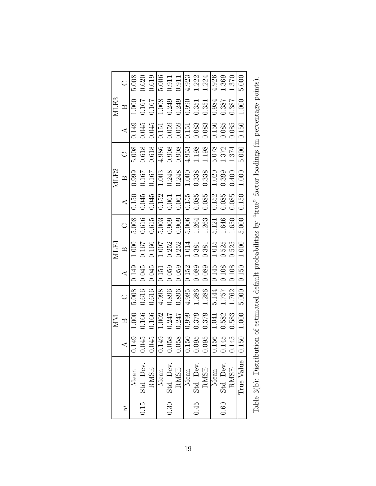|      | O                    | $5.00\overline{\text{8}}$ | 0.620            | 0.619       | 5.006 | 0.911          | 0.911       | 4.923                  | 1.222            | 1.224                 | 4.926 | 1.369          | 1.370       | 5.000                  |                                                                                                               |
|------|----------------------|---------------------------|------------------|-------------|-------|----------------|-------------|------------------------|------------------|-----------------------|-------|----------------|-------------|------------------------|---------------------------------------------------------------------------------------------------------------|
| MLE3 | $\mathbf{\Omega}$    | 1.000                     | 0.167            | 0.167       | 1.008 | 0.249          | 0.249       | 0.990                  | 0.351            | 0.351                 | 0.984 | 0.387          | 0.387       | 1.000                  |                                                                                                               |
|      | $\blacktriangleleft$ | 0.149                     | 0.045            | 0.045       | 0.151 | 0.059          | 0.059       | 0.151                  | 0.083            | 0.083                 | 0.150 | 0.085          | 0.085       | 0.150                  |                                                                                                               |
|      | $\circ$              | $5.008$                   | 0.618            | 0.618       | 4.986 | 0.908          | $0.908\,$   | 4.953                  | 1.198            | 1.198                 | 5.078 | 1.372          | 1.374       | 5.000                  |                                                                                                               |
| MLE2 | $\mathbf{\Omega}$    | 0.999                     | 0.167            | 0.167       | 1.003 | 0.248          | 0.248       | $1.000\,$              | 0.338            | 0.338                 | 1.020 | 0.399          | 0.400       | $1.000\,$              |                                                                                                               |
|      | $\prec$              | 0.150                     | 0.045            | 0.045       | 0.152 | 0.061          | 0.061       | 0.155                  | 0.085            | 0.085                 | 0.152 | 0.085          | 0.085       | 0.150                  |                                                                                                               |
|      | $\circ$              | 5.008                     | 0.616            | 0.615       | 5.003 | 0.909          | 0.909       | 5.006                  | $1.264\,$        | 1.263                 | 5.121 | 1.646          | 1.650       | 5.000                  |                                                                                                               |
| MLEI | $\mathbf{\Omega}$    | 1.000                     | 0.167            | 0.166       | 1.007 | 0.252          | 0.252       | 1.014                  | 0.381            | 0.381                 | 1.015 | 0.525          | 0.525       | 1.000                  |                                                                                                               |
|      | $\prec$              | 0.149                     | 0.045            | 0.045       | 0.151 | 0.059          | 0.059       | 0.152                  | 0.089            | 0.089                 | 0.145 | $0.108\,$      | 0.108       | 0.150                  |                                                                                                               |
|      | $\circ$              | 5.008                     | 0.616            | 0.616       | 4.998 | 0.896          | 0.896       | 4.985                  | 1.286            | 1.286                 | 5.144 | 757.1          | 1.762       | 5.000                  |                                                                                                               |
| NN   | $\mathbf{\Omega}$    | 1.000                     | 0.166            | 0.166       | 1.002 | 0.247          | 0.247       | 0.999                  | 0.379            | 0.379                 | 1.041 | 0.582          | 0.583       | 1.000                  |                                                                                                               |
|      |                      | 0.149                     | 0.045            | 0.045       | 0.149 | 158<br>0.0     | 958<br>0.0  | 0S<br>$\overline{0.1}$ |                  | $\frac{0.095}{0.095}$ |       | 145<br>0.1     | 45<br>0.1   | 50<br>$\overline{0.1}$ |                                                                                                               |
|      |                      | Mean                      | $0.15$ Std. Dev. | <b>RMSE</b> | Mean  | 0.30 Std. Dev. | <b>RMSE</b> | Mean                   | $0.45$ Std. Dev. | <b>RMSE</b>           | Mean  | 0.60 Std. Dev. | <b>RMSE</b> | True Value             | Table 3(b): Distribution of estimated default probabilities by "true" factor loadings (in percentage points). |
|      |                      |                           |                  |             |       |                |             |                        |                  |                       |       |                |             |                        |                                                                                                               |

| ׇׇ֠֕֡<br>ׇ֚֘֡ |
|---------------|
|               |
|               |
| ,             |
| l             |
| į<br>j        |
| I             |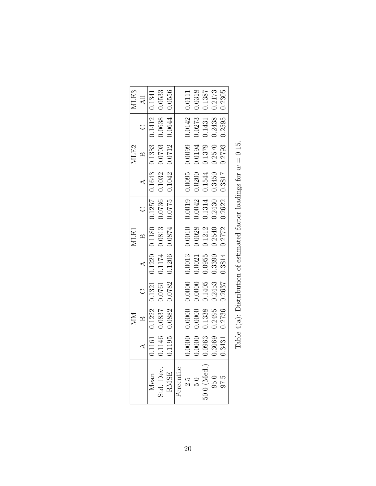|                                 |        | MM            |                            |                | MLE1              |                                                                                                                        |                 | MLE2   |                 | MLE3            |
|---------------------------------|--------|---------------|----------------------------|----------------|-------------------|------------------------------------------------------------------------------------------------------------------------|-----------------|--------|-----------------|-----------------|
|                                 |        |               |                            | $\overline{A}$ | $\mathbb{B}$      | $\bigcup$                                                                                                              | $\overline{A}$  | $\Box$ | $\bigcup$       | $\overline{AB}$ |
| $\label{eq:mean} \text{Mean}$   |        | 0.1161 0.1222 |                            |                |                   | $\boxed{0.1321} \begin{array}{ l} 0.1220 & 0.1180 & 0.1257 & 0.1643 & 0.1383 & 0.1412 & 0.1341 \end{array}$            |                 |        |                 |                 |
|                                 |        |               |                            |                |                   | $0.1146 \quad 0.0837 \quad 0.0761 \quad 0.1174 \quad 0.0813 \quad 0.0736 \quad 0.1032 \quad 0.0703 \quad 0.0638 \quad$ |                 |        |                 | 0.0533          |
| Std. Dev.<br>RMSE<br>Percentile |        |               | $0.1195$ $0.0882$ $0.0782$ |                |                   | $\begin{array}{ ccc c c c c c c c } \hline 0.1206 & 0.0874 & 0.0775 & 0.1042 & 0.0712 & 0.0644 \hline \end{array}$     |                 |        |                 | 0.0556          |
|                                 |        |               |                            |                |                   |                                                                                                                        |                 |        |                 |                 |
|                                 | 0.0000 | 0.0000        | 0.0000                     |                | 0.0013 0.0010     |                                                                                                                        | $0.0019$ 0.0095 | 0.0099 | $0.0142$ 0.0111 |                 |
| $2.5$<br>$5.0$                  | 0.0000 | 0.0000        | 0.0000                     | 0.0021         | 0.0028            |                                                                                                                        | $0.0042$ 0.0200 | 0.0194 | 0.0273          | 0.0318          |
| $50.0$ (Med.) $\vert$ , $95.0$  | 0.0963 | 0.1338        | 0.1405                     | 0.0955         | 0.1212            |                                                                                                                        | $0.1314$ 0.1544 | 0.1379 | 0.1431          | 0.1387          |
|                                 | 0.3069 | 0.2495        | 0.2453                     |                | $0.3390$ $0.2540$ |                                                                                                                        | $0.2430$ 0.3450 | 0.2570 | 0.2438 0.2173   |                 |
| 97.5                            | 0.3431 |               | 0.2736 0.2637              |                |                   | $0.3814$ $0.2772$ $0.2622$ 0.3817                                                                                      |                 | 0.2793 | $0.2595$ 0.2305 |                 |
|                                 |        |               |                            |                |                   | Table $A(s)$ . Distribution of estimated factor loadings for $m = 0.15$                                                |                 |        |                 |                 |

| ı                                                      |
|--------------------------------------------------------|
| l                                                      |
| $\frac{1}{2}$                                          |
| ξ                                                      |
| $\frac{1}{2}$                                          |
| J<br>ĺ                                                 |
| -<br>-<br>-                                            |
| ۱<br>۱                                                 |
| ו<br>ו                                                 |
| $\sim$ $\sim$ $\sim$<br>֠<br>i<br>$\ddot{\phantom{0}}$ |
|                                                        |
| $\frac{1}{2}$<br>ı<br>ı<br>ı<br>l                      |
| Ì                                                      |
|                                                        |
| $\ddot{\phantom{a}}$                                   |
| i                                                      |
| l<br>.<br>E                                            |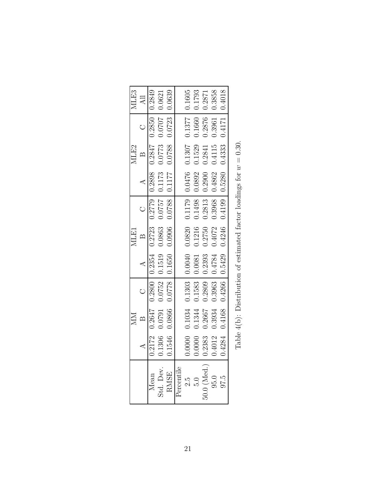|                                                  |        | $M_{\rm M}$                                                                                                                 |           |                                                                                                       | <b>MLE1</b>  |                |                 | MLE2   | MLE3            |                                                                                                                                                                 |
|--------------------------------------------------|--------|-----------------------------------------------------------------------------------------------------------------------------|-----------|-------------------------------------------------------------------------------------------------------|--------------|----------------|-----------------|--------|-----------------|-----------------------------------------------------------------------------------------------------------------------------------------------------------------|
|                                                  |        |                                                                                                                             | $\bigcup$ | $\overline{A}$                                                                                        | $\mathbb{B}$ | $\overline{C}$ | $\overline{A}$  | $\Box$ | $\overline{AB}$ |                                                                                                                                                                 |
| Mean                                             |        | $\begin{array}{cccc c} 0.2172 & 0.2647 & 0.2800 & 0.2354 & 0.2723 & 0.2779 & 0.2898 & 0.2847 & 0.2850 & 0.2849 \end{array}$ |           |                                                                                                       |              |                |                 |        |                 |                                                                                                                                                                 |
|                                                  |        | $0.1306 \quad 0.0791 \quad 0.0752 \quad 0.1519 \quad 0.0863 \quad 0.0757 \quad 0.1173 \quad 0.0773 \quad 0.0707$            |           |                                                                                                       |              |                |                 |        | 0.0621          |                                                                                                                                                                 |
| Std. Dev.<br>RMSE<br>Percentile                  |        | $0.1546 \quad 0.0866 \quad 0.0778 \mid 0.1650 \quad 0.0906 \quad 0.0788 \mid 0.1177 \quad 0.0788 \quad 0.0723$              |           |                                                                                                       |              |                |                 |        | 0.0639          |                                                                                                                                                                 |
|                                                  |        |                                                                                                                             |           |                                                                                                       |              |                |                 |        |                 |                                                                                                                                                                 |
|                                                  |        | 0.0000 0.1034                                                                                                               |           |                                                                                                       |              |                |                 |        |                 |                                                                                                                                                                 |
|                                                  | 0.0000 | 0.1344                                                                                                                      | 0.1583    | 0.0081 0.1216                                                                                         |              |                | 0.1498   0.0892 | 0.1529 |                 |                                                                                                                                                                 |
|                                                  | 0.2383 | 0.2667                                                                                                                      | 0.2809    | $0.2393$ $0.2750$                                                                                     |              |                | $0.2813$ 0.2900 | 0.2841 |                 |                                                                                                                                                                 |
|                                                  | 0.4012 | 0.3934                                                                                                                      |           |                                                                                                       |              |                |                 | 0.4115 |                 |                                                                                                                                                                 |
| 97.5                                             |        | $0.4284$ $0.4168$ $0.4266$                                                                                                  |           | $\begin{array}{ c c c c c c } \hline 0.5429 & 0.4246 & 0.4199 & 0.5280 & 0.4333 \ \hline \end{array}$ |              |                |                 |        | 0.4018          |                                                                                                                                                                 |
|                                                  |        | Table $A(h)$ . Distribution of estimated factor loadings for $m = 0.30$                                                     |           |                                                                                                       |              |                |                 |        |                 |                                                                                                                                                                 |
| $50.0$ (Med.) $\vert$ , $95.0$<br>$2.5$<br>$5.0$ |        |                                                                                                                             |           | $0.3963$ 0.4784 0.4072 0.3968 0.4862                                                                  |              |                |                 |        |                 | $0.1303 \mid 0.0040 \quad 0.0820 \quad 0.1179 \mid 0.0476 \quad 0.1307 \quad 0.1377 \mid 0.1605$<br>0.3961 0.3858<br>0.1660   0.1793<br>0.2876 0.2871<br>0.4171 |

| $\frac{1}{2}$<br>I<br>$\frac{1}{2}$ $\frac{1}{2}$ $\frac{1}{2}$ $\frac{1}{2}$ $\frac{1}{2}$ $\frac{1}{2}$ $\frac{1}{2}$ $\frac{1}{2}$<br>ş<br>l<br>í<br>)<br>ı<br>こうしん あんしょう<br>$\frac{1}{2}$<br>i<br>$\ddot{\phantom{a}}$<br>l<br>ؚ<br>ا<br>١<br>l<br>j<br>ı<br>l<br>l<br>23<br>r<br>E<br>I |  |
|----------------------------------------------------------------------------------------------------------------------------------------------------------------------------------------------------------------------------------------------------------------------------------------------|--|
|                                                                                                                                                                                                                                                                                              |  |
|                                                                                                                                                                                                                                                                                              |  |
|                                                                                                                                                                                                                                                                                              |  |
|                                                                                                                                                                                                                                                                                              |  |
|                                                                                                                                                                                                                                                                                              |  |
|                                                                                                                                                                                                                                                                                              |  |
|                                                                                                                                                                                                                                                                                              |  |
|                                                                                                                                                                                                                                                                                              |  |
|                                                                                                                                                                                                                                                                                              |  |
|                                                                                                                                                                                                                                                                                              |  |
|                                                                                                                                                                                                                                                                                              |  |
|                                                                                                                                                                                                                                                                                              |  |
|                                                                                                                                                                                                                                                                                              |  |
|                                                                                                                                                                                                                                                                                              |  |
|                                                                                                                                                                                                                                                                                              |  |
|                                                                                                                                                                                                                                                                                              |  |
|                                                                                                                                                                                                                                                                                              |  |
|                                                                                                                                                                                                                                                                                              |  |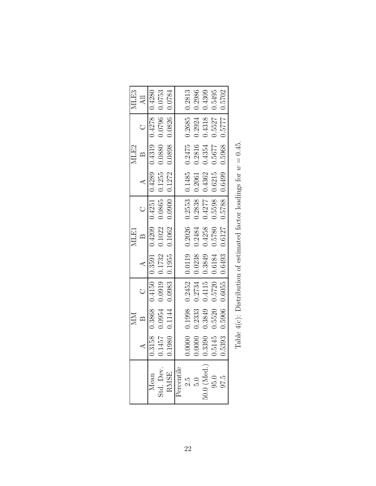|                                 |        | $M_{\rm M}$   |                                                                                                                               |                | NLE1                                                                                           |                |                | MLE2                                                                    |                          | MLE3            |  |
|---------------------------------|--------|---------------|-------------------------------------------------------------------------------------------------------------------------------|----------------|------------------------------------------------------------------------------------------------|----------------|----------------|-------------------------------------------------------------------------|--------------------------|-----------------|--|
|                                 |        |               | $\circ$                                                                                                                       | $\overline{A}$ | $\mathbb{Z}$                                                                                   | $\overline{C}$ | $\overline{A}$ | $\mathbb{B}$                                                            | $\circ$                  | $\overline{AB}$ |  |
| Mean                            |        |               | $0.3158 \quad 0.3868 \quad 0.4150 \quad 0.6249 \quad 0.4251 \quad 0.4251 \quad 0.4289 \quad 0.4319 \quad 0.4278 \quad 0.4880$ |                |                                                                                                |                |                |                                                                         |                          |                 |  |
|                                 |        |               | $0.1457 \quad 0.0954 \quad 0.0919 \quad 0.1732 \quad 0.1022 \quad 0.0865 \quad 0.1255 \quad 0.0880 \quad 0.0796 \quad 0.0753$ |                |                                                                                                |                |                |                                                                         |                          |                 |  |
| Std. Dev.<br>RMSE<br>Percentile |        |               | $0.1980 \quad 0.1144 \quad 0.0983 \quad 0.1955 \quad 0.1062 \quad 0.0900 \quad 0.1272 \quad 0.0898 \quad 0.0826 \quad$        |                |                                                                                                |                |                |                                                                         |                          | $-0.0784$       |  |
|                                 |        |               |                                                                                                                               |                |                                                                                                |                |                |                                                                         |                          |                 |  |
|                                 |        |               | $0.0000$ $0.1998$ $0.2452$ $0.0119$ $0.2026$ $0.2553$ $0.1485$ $0.2475$ $0.2685$ $0.2813$                                     |                |                                                                                                |                |                |                                                                         |                          |                 |  |
| $2.5$<br>$5.0$                  | 0.0000 | 0.2333        | 0.2734                                                                                                                        |                | $\begin{array}{ c c c c c c c c } \hline 0.0238 & 0.2484 & 0.2838 & 0.2061 \hline \end{array}$ |                |                |                                                                         | $0.2816$ $0.2924$ 0.2986 |                 |  |
| $50.0$ (Med.) $\vert$ , $95.0$  |        | 0.3390 0.3849 |                                                                                                                               |                | $0.4115$ 0.3849 0.4258 0.4277 0.4362                                                           |                |                |                                                                         | $0.4354$ $0.4318$ 0.4309 |                 |  |
|                                 |        | 0.5145 0.5520 |                                                                                                                               |                |                                                                                                |                |                | $0.5720   0.6184   0.5780   0.5598   0.6215   0.5677   0.5527   0.5495$ |                          |                 |  |
| 97.5                            |        |               | $0.5393$ $0.5906$ $0.6055$                                                                                                    |                |                                                                                                |                |                |                                                                         |                          |                 |  |
|                                 |        |               | Table $4(e)$ . Distribution of estimated factor loadings for $m = 0.45$                                                       |                |                                                                                                |                |                |                                                                         |                          |                 |  |
|                                 |        |               |                                                                                                                               |                |                                                                                                |                |                |                                                                         |                          |                 |  |

| $\frac{1}{2}$                                                                          |
|----------------------------------------------------------------------------------------|
| $\frac{1}{2}$ is $\frac{1}{2}$ in $\frac{1}{2}$ in $\frac{1}{2}$ in $\frac{1}{2}$<br>₹ |
| ;<br>l                                                                                 |
| )<br>ı<br>i<br>ı                                                                       |
| ハー・パーパー くりょう<br>ı<br>;<br>ı                                                            |
| ļ                                                                                      |
| $\frac{1}{1}$                                                                          |
| $\frac{1}{2}$<br>l                                                                     |
| ı<br>l<br>J<br>ı<br>l                                                                  |
| P                                                                                      |
|                                                                                        |
|                                                                                        |
| l                                                                                      |
| l<br>ļ<br>١<br>l<br>ì<br>.<br>E<br>$\overline{\phantom{a}}$<br>۱                       |
|                                                                                        |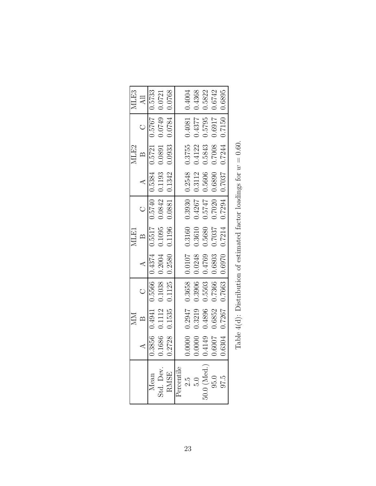|                                 |        | MM     |                                                                                                                                                                                                                                |              | MLE1         |                                                                                                |               | MLE2                                     |                          | MLE3   |
|---------------------------------|--------|--------|--------------------------------------------------------------------------------------------------------------------------------------------------------------------------------------------------------------------------------|--------------|--------------|------------------------------------------------------------------------------------------------|---------------|------------------------------------------|--------------------------|--------|
|                                 |        |        |                                                                                                                                                                                                                                | $\mathbf{A}$ | $\mathbb{B}$ | $\overline{C}$                                                                                 | $\mathcal{A}$ | $\mathbb{B}$                             | $\bigcirc$               | All    |
| Mean                            |        |        | $0.3856$ $0.4941$ $0.5566$ $0.4374$ $0.517$ $0.5740$ $0.5384$ $0.5721$ $0.5767$ $0.5733$                                                                                                                                       |              |              |                                                                                                |               |                                          |                          |        |
|                                 |        |        | $0.1686 \quad 0.1112 \quad 0.1038 \quad 0.2004 \quad 0.1095 \quad 0.0842 \quad 0.1193 \quad 0.0891 \quad 0.0749 \quad 0.0721$                                                                                                  |              |              |                                                                                                |               |                                          |                          |        |
| Std. Dev.<br>RMSE<br>Percentile |        |        | $0.2728$ $0.1535$ $0.1125$ $0.2580$ $0.1196$ $0.0881$ $0.1342$ $0.0933$ $0.0784$ and $0.0134$ $0.00033$ $0.000033$ $0.000033$ $0.000033$ $0.000033$ $0.000033$ $0.000033$ $0.000033$ $0.000033$ $0.000033$ $0.000033$ $0.0000$ |              |              |                                                                                                |               |                                          |                          | 0.0768 |
|                                 |        |        |                                                                                                                                                                                                                                |              |              |                                                                                                |               |                                          |                          |        |
|                                 |        |        | $0.0000 \quad 0.2947 \quad 0.3658 \quad 0.0107 \quad 0.3160 \quad 0.3930 \quad 0.2548 \quad 0.3755 \quad 0.4081 \quad 0.4004$                                                                                                  |              |              |                                                                                                |               |                                          |                          |        |
| $2.5$<br>$5.0$                  | 0.0000 | 0.3219 | 0.3906                                                                                                                                                                                                                         |              |              | $0.0248$ $0.3610$ $0.4267$ 0.3112                                                              |               |                                          | $0.4122$ $0.4377$ 0.4368 |        |
| $50.0$ (Med.) $\vert$ . $95.0$  | 0.4149 | 0.4896 | 0.5503                                                                                                                                                                                                                         |              |              | $\begin{array}{ c c c c c c c c } \hline 0.4769 & 0.5680 & 0.5747 & 0.5606 \hline \end{array}$ |               | 0.5843                                   | 0.5795 0.5822            |        |
|                                 | 0.6007 | 0.6852 | 0.7366                                                                                                                                                                                                                         |              |              | $\begin{array}{ c c c c c c c c } \hline 0.6803 & 0.7037 & 0.7020 & 0.6890 \hline \end{array}$ |               | 0.7008                                   | 0.6917 0.6742            |        |
| 97.5                            |        |        | 0.6304 0.7267 0.7663                                                                                                                                                                                                           |              |              |                                                                                                |               | $0.6970$ $0.7214$ $0.7294$ 0.7037 0.7244 | 0.7150                   | 0.6895 |
|                                 |        |        | Table $d(A)$ : Distribution of estimated factor loadings for $m = 0.60$                                                                                                                                                        |              |              |                                                                                                |               |                                          |                          |        |
|                                 |        |        |                                                                                                                                                                                                                                |              |              |                                                                                                |               |                                          |                          |        |

| ί,                                               |
|--------------------------------------------------|
|                                                  |
| I                                                |
| š                                                |
| $   -$<br>l<br>١<br>l                            |
| -<br>-<br>-<br>)<br>I                            |
| i<br>C<br>ł                                      |
|                                                  |
| i                                                |
| Continued Co.                                    |
| $\ddot{\zeta}$                                   |
| ı<br>;<br>;<br>١<br>l<br>ι                       |
|                                                  |
|                                                  |
| S<br>1<br>l                                      |
|                                                  |
| $\frac{1}{2}$<br>)<br>;<br>}<br>-<br> <br> <br>۱ |
|                                                  |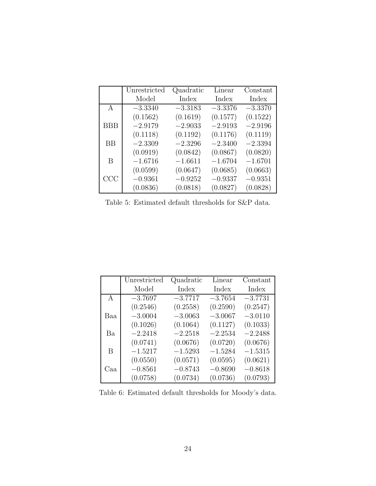|              | Unrestricted | Quadratic | Linear    | Constant  |
|--------------|--------------|-----------|-----------|-----------|
|              | Model        | Index     | Index     | Index     |
| $\mathsf{A}$ | $-3.3340$    | $-3.3183$ | $-3.3376$ | $-3.3370$ |
|              | (0.1562)     | (0.1619)  | (0.1577)  | (0.1522)  |
| <b>BBB</b>   | $-2.9179$    | $-2.9033$ | $-2.9193$ | $-2.9196$ |
|              | (0.1118)     | (0.1192)  | (0.1176)  | (0.1119)  |
| <b>BB</b>    | $-2.3309$    | $-2.3296$ | $-2.3400$ | $-2.3394$ |
|              | (0.0919)     | (0.0842)  | (0.0867)  | (0.0820)  |
| B            | $-1.6716$    | $-1.6611$ | $-1.6704$ | $-1.6701$ |
|              | (0.0599)     | (0.0647)  | (0.0685)  | (0.0663)  |
| CCC          | $-0.9361$    | $-0.9252$ | $-0.9337$ | $-0.9351$ |
|              | (0.0836)     | (0.0818)  | (0.0827)  | (0.0828)  |

Table 5: Estimated default thresholds for S&P data.

|              | Unrestricted | Quadratic | Linear    | Constant  |
|--------------|--------------|-----------|-----------|-----------|
|              | Model        | Index     | Index     | Index     |
| $\mathsf{A}$ | $-3.7697$    | $-3.7717$ | $-3.7654$ | $-3.7731$ |
|              | (0.2546)     | (0.2558)  | (0.2590)  | (0.2547)  |
| Baa          | $-3.0004$    | $-3.0063$ | $-3.0067$ | $-3.0110$ |
|              | (0.1026)     | (0.1064)  | (0.1127)  | (0.1033)  |
| Ba           | $-2.2418$    | $-2.2518$ | $-2.2534$ | $-2.2488$ |
|              | (0.0741)     | (0.0676)  | (0.0720)  | (0.0676)  |
| B            | $-1.5217$    | $-1.5293$ | $-1.5284$ | $-1.5315$ |
|              | (0.0550)     | (0.0571)  | (0.0595)  | (0.0621)  |
| Caa          | $-0.8561$    | $-0.8743$ | $-0.8690$ | $-0.8618$ |
|              | (0.0758)     | (0.0734)  | (0.0736)  | (0.0793)  |

Table 6: Estimated default thresholds for Moody's data.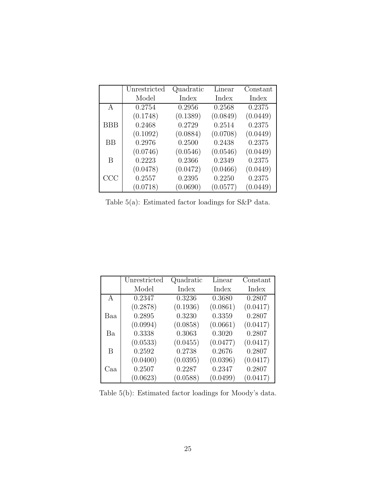|            | Unrestricted | Quadratic | Linear   | Constant |
|------------|--------------|-----------|----------|----------|
|            | Model        | Index     | Index    | Index    |
| A          | 0.2754       | 0.2956    | 0.2568   | 0.2375   |
|            | (0.1748)     | (0.1389)  | (0.0849) | (0.0449) |
| <b>BBB</b> | 0.2468       | 0.2729    | 0.2514   | 0.2375   |
|            | (0.1092)     | (0.0884)  | (0.0708) | (0.0449) |
| <b>BB</b>  | 0.2976       | 0.2500    | 0.2438   | 0.2375   |
|            | (0.0746)     | (0.0546)  | (0.0546) | (0.0449) |
| B          | 0.2223       | 0.2366    | 0.2349   | 0.2375   |
|            | (0.0478)     | (0.0472)  | (0.0466) | (0.0449) |
| CCC        | 0.2557       | 0.2395    | 0.2250   | 0.2375   |
|            | (0.0718)     | (0.0690)  | (0.0577) | (0.0449) |

Table 5(a): Estimated factor loadings for S&P data.

|              | Unrestricted | Quadratic | Linear   | Constant |
|--------------|--------------|-----------|----------|----------|
|              | Model        | Index     | Index    | Index    |
| $\mathsf{A}$ | 0.2347       | 0.3236    | 0.3680   | 0.2807   |
|              | (0.2878)     | (0.1936)  | (0.0861) | (0.0417) |
| Baa          | 0.2895       | 0.3230    | 0.3359   | 0.2807   |
|              | (0.0994)     | (0.0858)  | (0.0661) | (0.0417) |
| Ba           | 0.3338       | 0.3063    | 0.3020   | 0.2807   |
|              | (0.0533)     | (0.0455)  | (0.0477) | (0.0417) |
| B            | 0.2592       | 0.2738    | 0.2676   | 0.2807   |
|              | (0.0400)     | (0.0395)  | (0.0396) | (0.0417) |
| Caa          | 0.2507       | 0.2287    | 0.2347   | 0.2807   |
|              | (0.0623)     | (0.0588)  | (0.0499) | (0.0417) |

Table 5(b): Estimated factor loadings for Moody's data.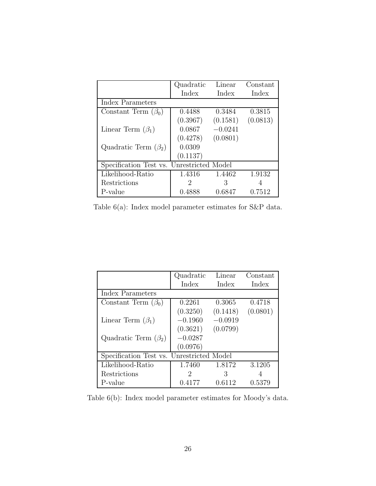|                                           | Quadratic | Linear    | Constant |
|-------------------------------------------|-----------|-----------|----------|
|                                           | Index     | Index     | Index    |
| Index Parameters                          |           |           |          |
| Constant Term $(\beta_0)$                 | 0.4488    | 0.3484    | 0.3815   |
|                                           | (0.3967)  | (0.1581)  | (0.0813) |
| Linear Term $(\beta_1)$                   | 0.0867    | $-0.0241$ |          |
|                                           | (0.4278)  | (0.0801)  |          |
| Quadratic Term $(\beta_2)$                | 0.0309    |           |          |
|                                           | (0.1137)  |           |          |
| Specification Test vs. Unrestricted Model |           |           |          |
| Likelihood-Ratio                          | 1.4316    | 1.4462    | 1.9132   |
| Restrictions                              | 2         | З         | 4        |
| P-value                                   | 0.4888    | 0.6847    | 0.7512   |

Table 6(a): Index model parameter estimates for S&P data.

|                                           | Quadratic | Linear    | Constant |
|-------------------------------------------|-----------|-----------|----------|
|                                           | Index     | Index     | Index    |
| Index Parameters                          |           |           |          |
| Constant Term $(\beta_0)$                 | 0.2261    | 0.3065    | 0.4718   |
|                                           | (0.3250)  | (0.1418)  | (0.0801) |
| Linear Term $(\beta_1)$                   | $-0.1960$ | $-0.0919$ |          |
|                                           | (0.3621)  | (0.0799)  |          |
| Quadratic Term $(\beta_2)$                | $-0.0287$ |           |          |
|                                           | (0.0976)  |           |          |
| Specification Test vs. Unrestricted Model |           |           |          |
| Likelihood-Ratio                          | 1.7460    | 1.8172    | 3.1205   |
| Restrictions                              | 2         | З         | 4        |
| P-value                                   | 0.4177    | 0.6112    | 0.5379   |

Table 6(b): Index model parameter estimates for Moody's data.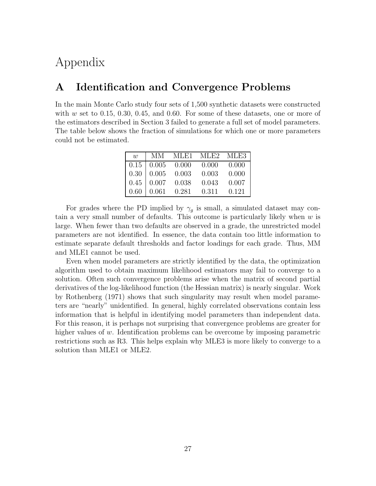# Appendix

#### **A Identification and Convergence Problems**

In the main Monte Carlo study four sets of 1,500 synthetic datasets were constructed with  $w$  set to 0.15, 0.30, 0.45, and 0.60. For some of these datasets, one or more of the estimators described in Section 3 failed to generate a full set of model parameters. The table below shows the fraction of simulations for which one or more parameters could not be estimated.

| $\overline{u}$ |                                                    | MM MLE1 MLE2 MLE3                                            |       |
|----------------|----------------------------------------------------|--------------------------------------------------------------|-------|
|                |                                                    | $0.15 \begin{array}{ l} 0.005 \end{array}$ 0.000 0.000 0.000 |       |
|                | $0.30\begin{array}{ l} 0.005\end{array}$ 0.003     | 0.003                                                        | 0.000 |
|                | $0.45 \begin{array}{ l} 0.007 & 0.038 \end{array}$ | 0.043                                                        | 0.007 |
|                | $0.60 \mid 0.061 \quad 0.281 \quad 0.311$          |                                                              | 0.121 |

For grades where the PD implied by  $\gamma_g$  is small, a simulated dataset may contain a very small number of defaults. This outcome is particularly likely when  $w$  is large. When fewer than two defaults are observed in a grade, the unrestricted model parameters are not identified. In essence, the data contain too little information to estimate separate default thresholds and factor loadings for each grade. Thus, MM and MLE1 cannot be used.

Even when model parameters are strictly identified by the data, the optimization algorithm used to obtain maximum likelihood estimators may fail to converge to a solution. Often such convergence problems arise when the matrix of second partial derivatives of the log-likelihood function (the Hessian matrix) is nearly singular. Work by Rothenberg (1971) shows that such singularity may result when model parameters are "nearly" unidentified. In general, highly correlated observations contain less information that is helpful in identifying model parameters than independent data. For this reason, it is perhaps not surprising that convergence problems are greater for higher values of  $w$ . Identification problems can be overcome by imposing parametric restrictions such as R3. This helps explain why MLE3 is more likely to converge to a solution than MLE1 or MLE2.